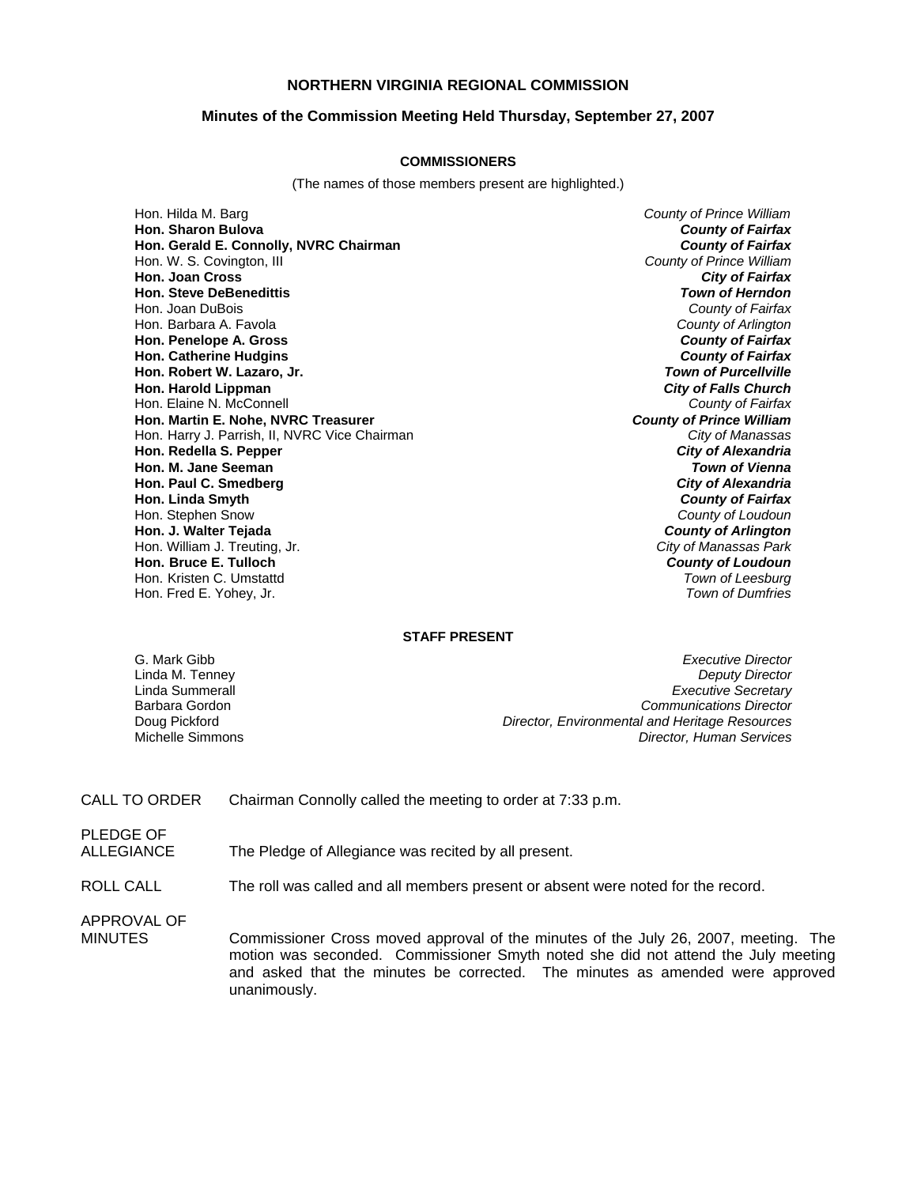#### **NORTHERN VIRGINIA REGIONAL COMMISSION**

#### **Minutes of the Commission Meeting Held Thursday, September 27, 2007**

#### **COMMISSIONERS**

(The names of those members present are highlighted.)

Hon. Hilda M. Barg *County of Prince William* **Hon. Sharon Bulova** *County of Fairfax* **Hon. Gerald E. Connolly, NVRC Chairman** Hon. W. S. Covington, III *County of Prince William* **Hon. Joan Cross** *City of Fairfax* **Hon. Steve DeBenedittis** *Town of Herndon* Hon. Joan DuBois *County of Fairfax* Hon. Barbara A. Favola *County of Arlington* **Hon. Penelope A. Gross** *County of Fairfax* **Hon. Catherine Hudgins** *County of Fairfax* **Hon. Robert W. Lazaro, Jr.** *Town of Purcellville* **Hon. Harold Lippman** *City of Falls Church* Hon. Elaine N. McConnell **County of Fairfax**<br> **Hon. Martin E. Nohe, NVRC Treasurer County of Prince William Hon. Martin E. Nohe, NVRC Treasurer** *County of Prince William* Hon. Harry J. Parrish, II, NVRC Vice Chairman **Hon. Redella S. Pepper** *City of Alexandria* **Hon. M. Jane Seeman** *Town of Vienna* **Hon. Paul C. Smedberg** *City of Alexandria* **Hon. Linda Smyth** *County of Fairfax* Hon. Stephen Snow *County of Loudoun* **Hon. J. Walter Tejada** *County of Arlington* Hon. William J. Treuting, Jr. *City of Manassas Park* **Hon. Bruce E. Tulloch** *County of Loudoun* Hon. Kristen C. Umstattd *Town of Leesburg* Hon. Fred E. Yohey, Jr.

#### **STAFF PRESENT**

G. Mark Gibb *Executive Director* **Deputy Director** Linda Summerall *Executive Secretary* Barbara Gordon *Communications Director* Doug Pickford *Director, Environmental and Heritage Resources* Michelle Simmons *Director, Human Services*

CALL TO ORDER Chairman Connolly called the meeting to order at 7:33 p.m.

PLEDGE OF ALLEGIANCE The Pledge of Allegiance was recited by all present.

ROLL CALL The roll was called and all members present or absent were noted for the record.

APPROVAL OF

MINUTES Commissioner Cross moved approval of the minutes of the July 26, 2007, meeting. The motion was seconded. Commissioner Smyth noted she did not attend the July meeting and asked that the minutes be corrected. The minutes as amended were approved unanimously.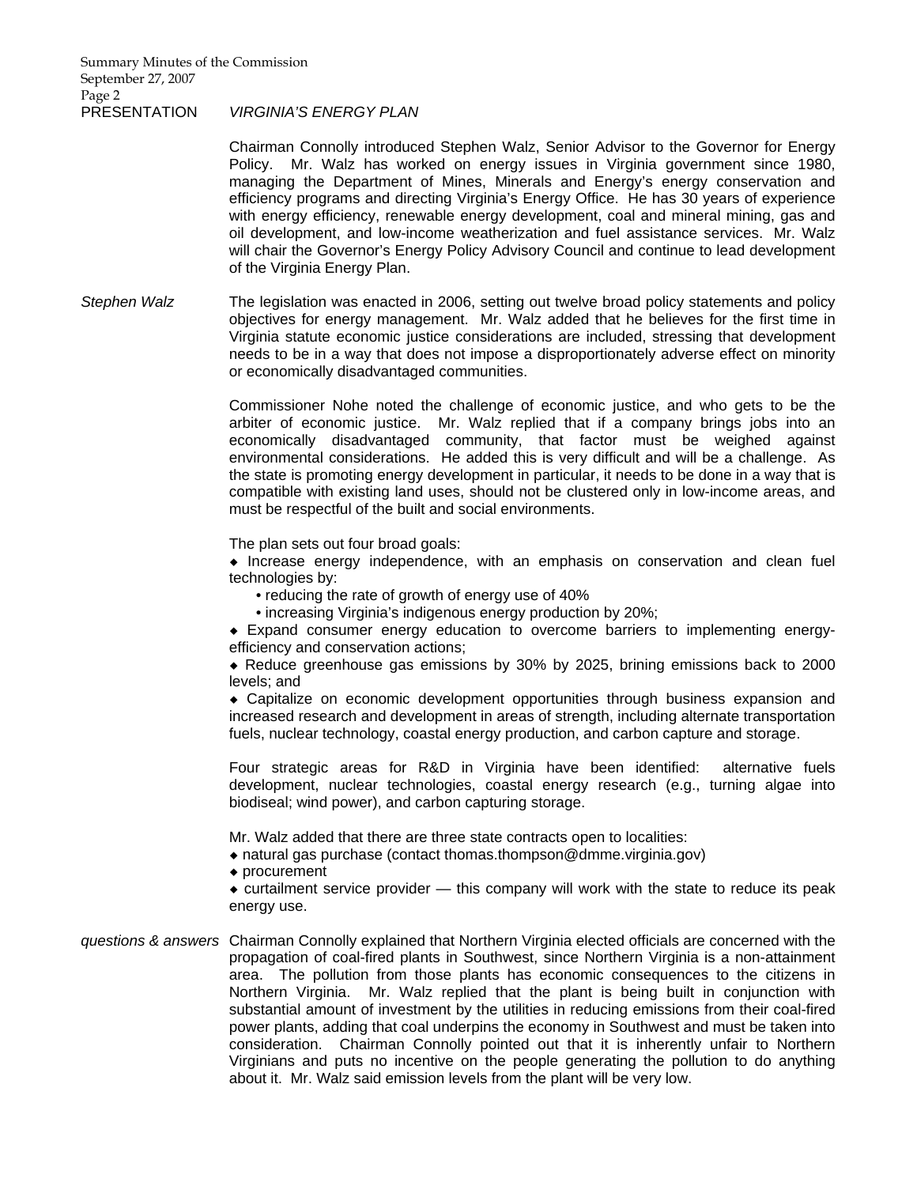Chairman Connolly introduced Stephen Walz, Senior Advisor to the Governor for Energy Policy. Mr. Walz has worked on energy issues in Virginia government since 1980, managing the Department of Mines, Minerals and Energy's energy conservation and efficiency programs and directing Virginia's Energy Office. He has 30 years of experience with energy efficiency, renewable energy development, coal and mineral mining, gas and oil development, and low-income weatherization and fuel assistance services. Mr. Walz will chair the Governor's Energy Policy Advisory Council and continue to lead development of the Virginia Energy Plan.

*Stephen Walz* The legislation was enacted in 2006, setting out twelve broad policy statements and policy objectives for energy management. Mr. Walz added that he believes for the first time in Virginia statute economic justice considerations are included, stressing that development needs to be in a way that does not impose a disproportionately adverse effect on minority or economically disadvantaged communities.

> Commissioner Nohe noted the challenge of economic justice, and who gets to be the arbiter of economic justice. Mr. Walz replied that if a company brings jobs into an economically disadvantaged community, that factor must be weighed against environmental considerations. He added this is very difficult and will be a challenge. As the state is promoting energy development in particular, it needs to be done in a way that is compatible with existing land uses, should not be clustered only in low-income areas, and must be respectful of the built and social environments.

The plan sets out four broad goals:

 $\bullet$  Increase energy independence, with an emphasis on conservation and clean fuel technologies by:

- reducing the rate of growth of energy use of 40%
- increasing Virginia's indigenous energy production by 20%;

¡ Expand consumer energy education to overcome barriers to implementing energyefficiency and conservation actions;

 $\bullet$  Reduce greenhouse gas emissions by 30% by 2025, brining emissions back to 2000 levels; and

¡ Capitalize on economic development opportunities through business expansion and increased research and development in areas of strength, including alternate transportation fuels, nuclear technology, coastal energy production, and carbon capture and storage.

Four strategic areas for R&D in Virginia have been identified: alternative fuels development, nuclear technologies, coastal energy research (e.g., turning algae into biodiseal; wind power), and carbon capturing storage.

Mr. Walz added that there are three state contracts open to localities:

- $\bullet$  natural gas purchase (contact thomas.thompson@dmme.virginia.gov)
- $\bullet$  procurement

 $\bullet$  curtailment service provider  $-$  this company will work with the state to reduce its peak energy use.

*questions & answers* Chairman Connolly explained that Northern Virginia elected officials are concerned with the propagation of coal-fired plants in Southwest, since Northern Virginia is a non-attainment area. The pollution from those plants has economic consequences to the citizens in Northern Virginia. Mr. Walz replied that the plant is being built in conjunction with substantial amount of investment by the utilities in reducing emissions from their coal-fired power plants, adding that coal underpins the economy in Southwest and must be taken into consideration. Chairman Connolly pointed out that it is inherently unfair to Northern Virginians and puts no incentive on the people generating the pollution to do anything about it. Mr. Walz said emission levels from the plant will be very low.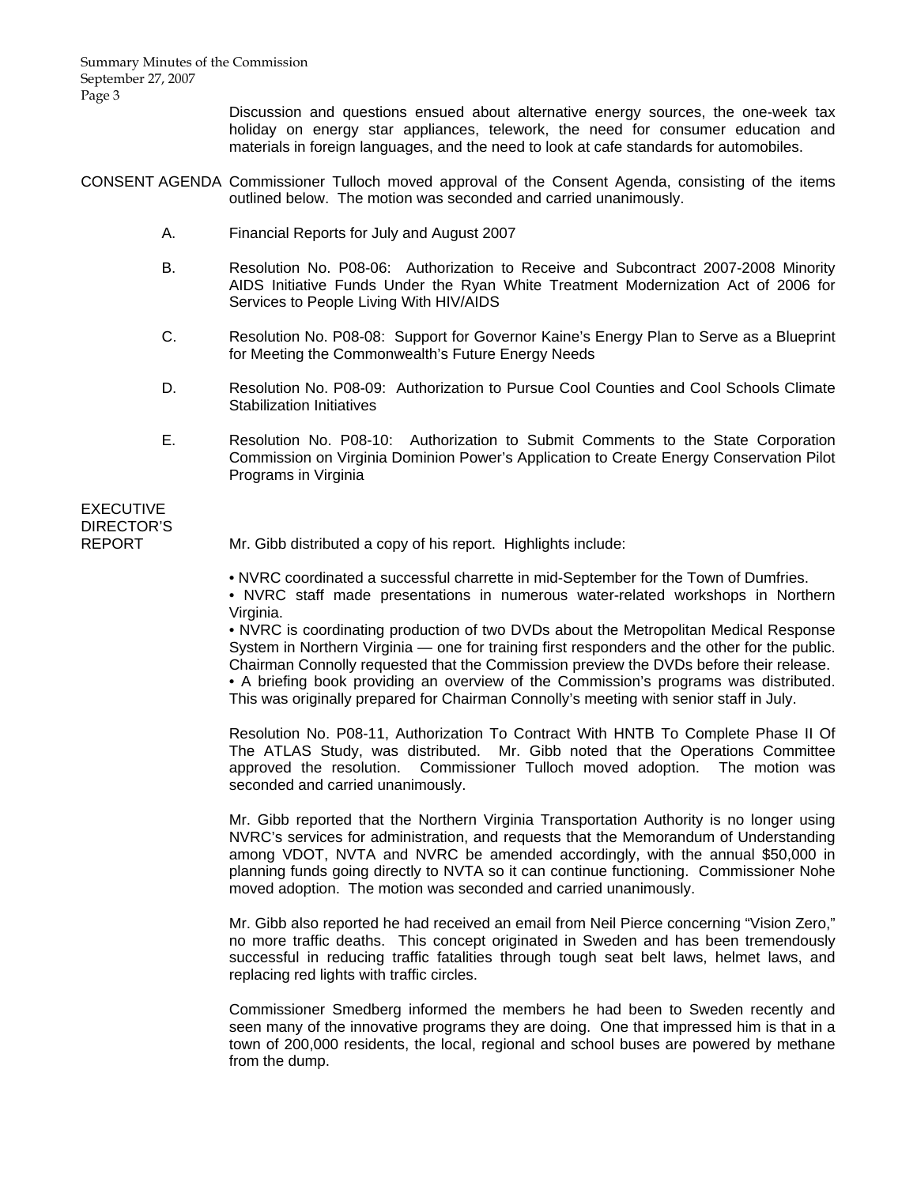Summary Minutes of the Commission September 27, 2007 Page 3

> Discussion and questions ensued about alternative energy sources, the one-week tax holiday on energy star appliances, telework, the need for consumer education and materials in foreign languages, and the need to look at cafe standards for automobiles.

CONSENT AGENDA Commissioner Tulloch moved approval of the Consent Agenda, consisting of the items outlined below. The motion was seconded and carried unanimously.

- A. Financial Reports for July and August 2007
- B. Resolution No. P08-06: Authorization to Receive and Subcontract 2007-2008 Minority AIDS Initiative Funds Under the Ryan White Treatment Modernization Act of 2006 for Services to People Living With HIV/AIDS
- C. Resolution No. P08-08: Support for Governor Kaine's Energy Plan to Serve as a Blueprint for Meeting the Commonwealth's Future Energy Needs
- D. Resolution No. P08-09: Authorization to Pursue Cool Counties and Cool Schools Climate Stabilization Initiatives
- E. Resolution No. P08-10: Authorization to Submit Comments to the State Corporation Commission on Virginia Dominion Power's Application to Create Energy Conservation Pilot Programs in Virginia

# EXECUTIVE DIRECTOR'S

REPORT Mr. Gibb distributed a copy of his report. Highlights include:

• NVRC coordinated a successful charrette in mid-September for the Town of Dumfries.

 • NVRC staff made presentations in numerous water-related workshops in Northern Virginia.

 • NVRC is coordinating production of two DVDs about the Metropolitan Medical Response System in Northern Virginia — one for training first responders and the other for the public. Chairman Connolly requested that the Commission preview the DVDs before their release.

 • A briefing book providing an overview of the Commission's programs was distributed. This was originally prepared for Chairman Connolly's meeting with senior staff in July.

 Resolution No. P08-11, Authorization To Contract With HNTB To Complete Phase II Of The ATLAS Study, was distributed. Mr. Gibb noted that the Operations Committee approved the resolution. Commissioner Tulloch moved adoption. The motion was seconded and carried unanimously.

 Mr. Gibb reported that the Northern Virginia Transportation Authority is no longer using NVRC's services for administration, and requests that the Memorandum of Understanding among VDOT, NVTA and NVRC be amended accordingly, with the annual \$50,000 in planning funds going directly to NVTA so it can continue functioning. Commissioner Nohe moved adoption. The motion was seconded and carried unanimously.

 Mr. Gibb also reported he had received an email from Neil Pierce concerning "Vision Zero," no more traffic deaths. This concept originated in Sweden and has been tremendously successful in reducing traffic fatalities through tough seat belt laws, helmet laws, and replacing red lights with traffic circles.

 Commissioner Smedberg informed the members he had been to Sweden recently and seen many of the innovative programs they are doing. One that impressed him is that in a town of 200,000 residents, the local, regional and school buses are powered by methane from the dump.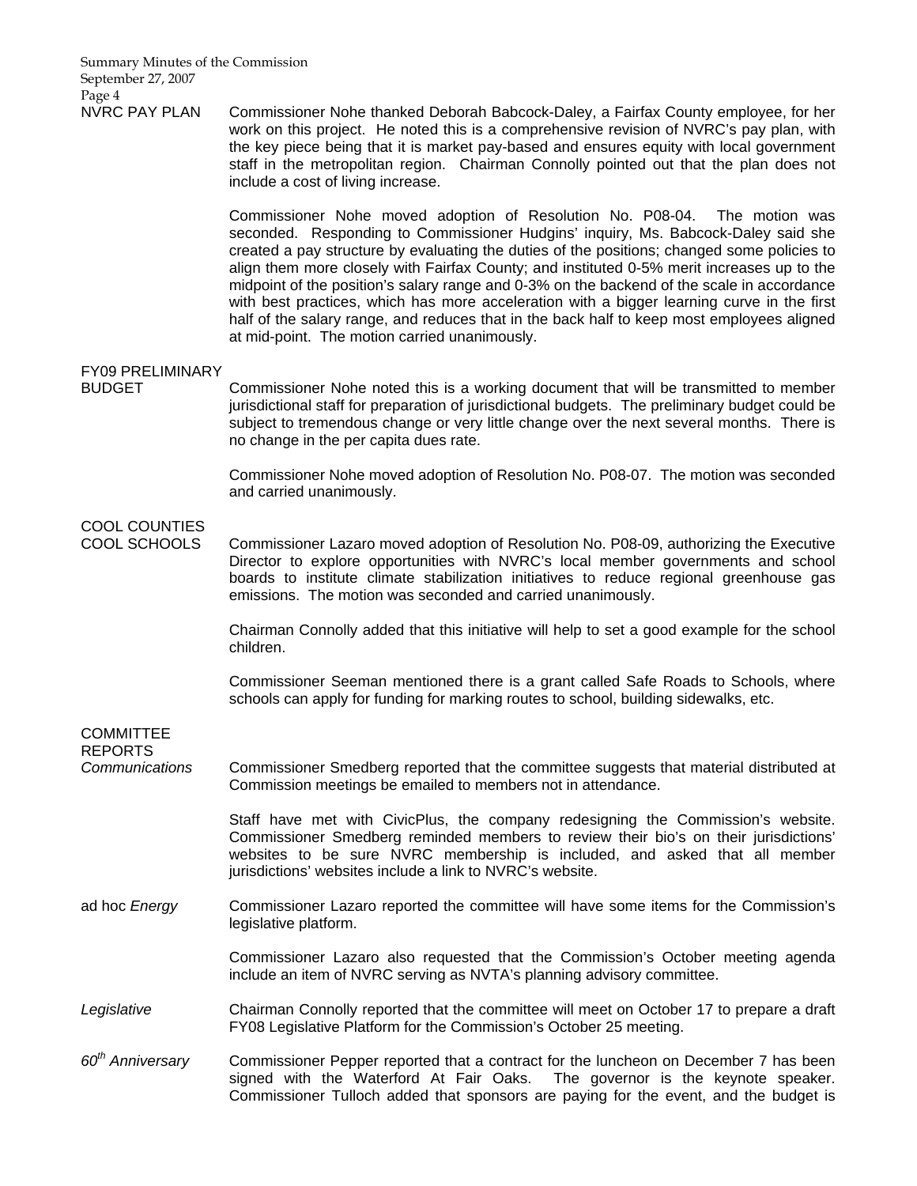Summary Minutes of the Commission September 27, 2007 Page 4

NVRC PAY PLAN Commissioner Nohe thanked Deborah Babcock-Daley, a Fairfax County employee, for her work on this project. He noted this is a comprehensive revision of NVRC's pay plan, with the key piece being that it is market pay-based and ensures equity with local government staff in the metropolitan region. Chairman Connolly pointed out that the plan does not include a cost of living increase.

> Commissioner Nohe moved adoption of Resolution No. P08-04. The motion was seconded. Responding to Commissioner Hudgins' inquiry, Ms. Babcock-Daley said she created a pay structure by evaluating the duties of the positions; changed some policies to align them more closely with Fairfax County; and instituted 0-5% merit increases up to the midpoint of the position's salary range and 0-3% on the backend of the scale in accordance with best practices, which has more acceleration with a bigger learning curve in the first half of the salary range, and reduces that in the back half to keep most employees aligned at mid-point. The motion carried unanimously.

### FY09 PRELIMINARY

BUDGET Commissioner Nohe noted this is a working document that will be transmitted to member jurisdictional staff for preparation of jurisdictional budgets. The preliminary budget could be subject to tremendous change or very little change over the next several months. There is no change in the per capita dues rate.

> Commissioner Nohe moved adoption of Resolution No. P08-07. The motion was seconded and carried unanimously.

## COOL COUNTIES

**COMMITTEE** 

COOL SCHOOLS Commissioner Lazaro moved adoption of Resolution No. P08-09, authorizing the Executive Director to explore opportunities with NVRC's local member governments and school boards to institute climate stabilization initiatives to reduce regional greenhouse gas emissions. The motion was seconded and carried unanimously.

> Chairman Connolly added that this initiative will help to set a good example for the school children.

> Commissioner Seeman mentioned there is a grant called Safe Roads to Schools, where schools can apply for funding for marking routes to school, building sidewalks, etc.

> Commissioner Tulloch added that sponsors are paying for the event, and the budget is

| <b>REPORTS</b>               |                                                                                                                                                                                                                                                                                                                     |
|------------------------------|---------------------------------------------------------------------------------------------------------------------------------------------------------------------------------------------------------------------------------------------------------------------------------------------------------------------|
| Communications               | Commissioner Smedberg reported that the committee suggests that material distributed at<br>Commission meetings be emailed to members not in attendance.                                                                                                                                                             |
|                              | Staff have met with CivicPlus, the company redesigning the Commission's website.<br>Commissioner Smedberg reminded members to review their bio's on their jurisdictions'<br>websites to be sure NVRC membership is included, and asked that all member<br>jurisdictions' websites include a link to NVRC's website. |
| ad hoc Energy                | Commissioner Lazaro reported the committee will have some items for the Commission's<br>legislative platform.                                                                                                                                                                                                       |
|                              | Commissioner Lazaro also requested that the Commission's October meeting agenda<br>include an item of NVRC serving as NVTA's planning advisory committee.                                                                                                                                                           |
| Legislative                  | Chairman Connolly reported that the committee will meet on October 17 to prepare a draft<br>FY08 Legislative Platform for the Commission's October 25 meeting.                                                                                                                                                      |
| 60 <sup>th</sup> Anniversary | Commissioner Pepper reported that a contract for the luncheon on December 7 has been<br>signed with the Waterford At Fair Oaks. The governor is the keynote speaker.                                                                                                                                                |